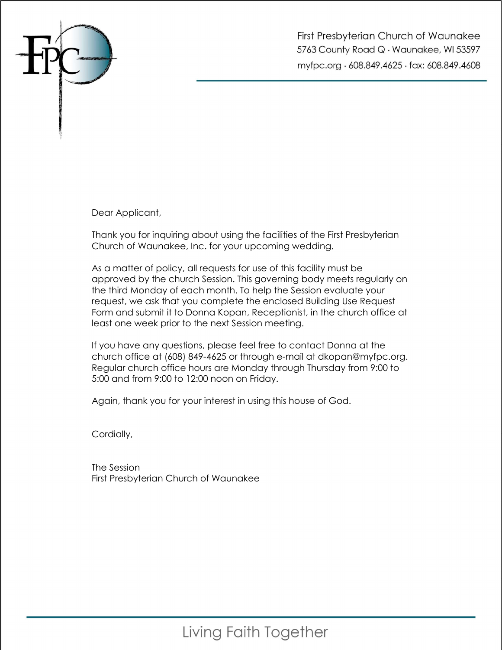

First Presbyterian Church of Waunakee 5763 County Road Q · Waunakee, WI 53597 myfpc.org · 608.849.4625 · fax: 608.849.4608

Dear Applicant,

Thank you for inquiring about using the facilities of the First Presbyterian Church of Waunakee, Inc. for your upcoming wedding.

As a matter of policy, all requests for use of this facility must be approved by the church Session. This governing body meets regularly on the third Monday of each month. To help the Session evaluate your request, we ask that you complete the enclosed Building Use Request Form and submit it to Donna Kopan, Receptionist, in the church office at least one week prior to the next Session meeting.

If you have any questions, please feel free to contact Donna at the church office at (608) 849-4625 or through e-mail at dkopan@myfpc.org. Regular church office hours are Monday through Thursday from 9:00 to 5:00 and from 9:00 to 12:00 noon on Friday.

Again, thank you for your interest in using this house of God.

Cordially,

The Session First Presbyterian Church of Waunakee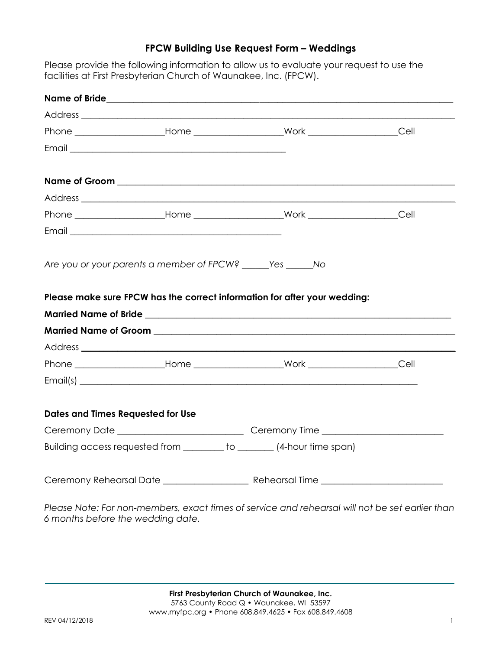## FPCW Building Use Request Form – Weddings

Please provide the following information to allow us to evaluate your request to use the facilities at First Presbyterian Church of Waunakee, Inc. (FPCW).

|                                          | Are you or your parents a member of FPCW? ______ Yes ______ No                                 |  |
|------------------------------------------|------------------------------------------------------------------------------------------------|--|
|                                          |                                                                                                |  |
|                                          |                                                                                                |  |
|                                          |                                                                                                |  |
|                                          |                                                                                                |  |
| <b>Dates and Times Requested for Use</b> |                                                                                                |  |
|                                          | Ceremony Date ___________________________________Ceremony Time _________________               |  |
|                                          | Building access requested from ________ to _______ (4-hour time span)                          |  |
|                                          |                                                                                                |  |
|                                          | Register Later Largen mambers, avant times of sension and repeared will not be set ogrips than |  |

<u>Please Note</u>: For non-members, exact times of service and rehearsal will not be set earlier than 6 months before the wedding date.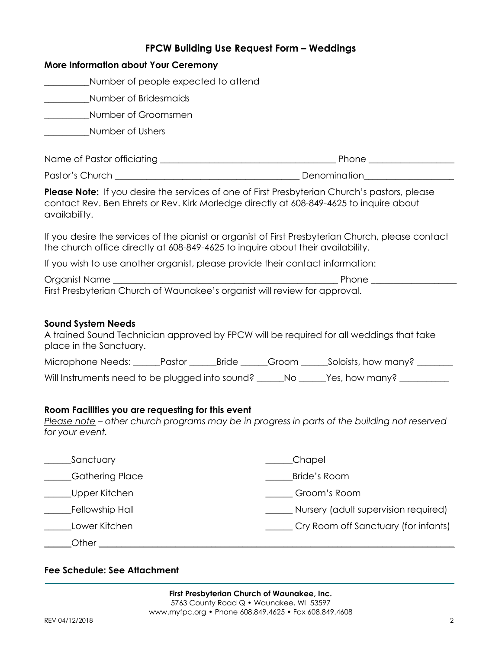|                                                                                 | FPCW Building Use Request Form - Weddings                                                                                                                                                       |
|---------------------------------------------------------------------------------|-------------------------------------------------------------------------------------------------------------------------------------------------------------------------------------------------|
| <b>More Information about Your Ceremony</b>                                     |                                                                                                                                                                                                 |
| Number of people expected to attend                                             |                                                                                                                                                                                                 |
| Number of Bridesmaids<br><u> Albanya a</u>                                      |                                                                                                                                                                                                 |
| ___________Number of Groomsmen                                                  |                                                                                                                                                                                                 |
| Number of Ushers                                                                |                                                                                                                                                                                                 |
|                                                                                 |                                                                                                                                                                                                 |
|                                                                                 |                                                                                                                                                                                                 |
| availability.                                                                   | <b>Please Note:</b> If you desire the services of one of First Presbyterian Church's pastors, please<br>contact Rev. Ben Ehrets or Rev. Kirk Morledge directly at 608-849-4625 to inquire about |
| the church office directly at 608-849-4625 to inquire about their availability. | If you desire the services of the pianist or organist of First Presbyterian Church, please contact                                                                                              |
| If you wish to use another organist, please provide their contact information:  |                                                                                                                                                                                                 |
| First Presbyterian Church of Waunakee's organist will review for approval.      |                                                                                                                                                                                                 |
| <b>Sound System Needs</b><br>place in the Sanctuary.                            | A trained Sound Technician approved by FPCW will be required for all weddings that take                                                                                                         |
|                                                                                 | Microphone Needs: ______Pastor _______Bride ______Groom ______Soloists, how many? ________                                                                                                      |
|                                                                                 | Will Instruments need to be plugged into sound? _____No _____Yes, how many? _________                                                                                                           |
| Room Facilities you are requesting for this event<br>for your event.            | Please note – other church programs may be in progress in parts of the building not reserved                                                                                                    |
| Sanctuary                                                                       | Chapel                                                                                                                                                                                          |
| <b>Gathering Place</b>                                                          | <b>Bride's Room</b>                                                                                                                                                                             |
| Upper Kitchen                                                                   | Groom's Room                                                                                                                                                                                    |
| Fellowship Hall                                                                 | Nursery (adult supervision required)                                                                                                                                                            |
| Lower Kitchen<br>Cry Room off Sanctuary (for infants)                           |                                                                                                                                                                                                 |
| Other                                                                           |                                                                                                                                                                                                 |

## Fee Schedule: See Attachment